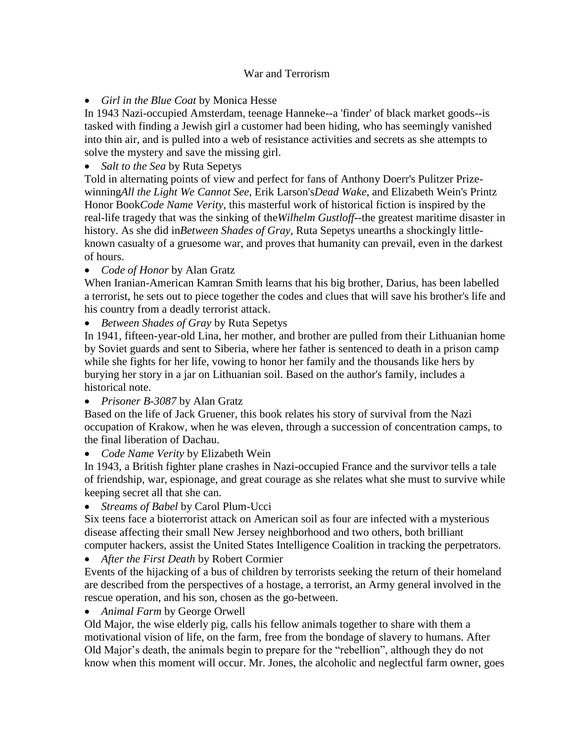## War and Terrorism

*Girl in the Blue Coat* by Monica Hesse

In 1943 Nazi-occupied Amsterdam, teenage Hanneke--a 'finder' of black market goods--is tasked with finding a Jewish girl a customer had been hiding, who has seemingly vanished into thin air, and is pulled into a web of resistance activities and secrets as she attempts to solve the mystery and save the missing girl.

*Salt to the Sea* by Ruta Sepetys

Told in alternating points of view and perfect for fans of Anthony Doerr's Pulitzer Prizewinning*All the Light We Cannot See*, Erik Larson's*Dead Wake*, and Elizabeth Wein's Printz Honor Book*Code Name Verity*, this masterful work of historical fiction is inspired by the real-life tragedy that was the sinking of the*Wilhelm Gustloff--*the greatest maritime disaster in history. As she did in*Between Shades of Gray*, Ruta Sepetys unearths a shockingly littleknown casualty of a gruesome war, and proves that humanity can prevail, even in the darkest of hours.

*Code of Honor* by Alan Gratz

When Iranian-American Kamran Smith learns that his big brother, Darius, has been labelled a terrorist, he sets out to piece together the codes and clues that will save his brother's life and his country from a deadly terrorist attack.

*Between Shades of Gray* by Ruta Sepetys

In 1941, fifteen-year-old Lina, her mother, and brother are pulled from their Lithuanian home by Soviet guards and sent to Siberia, where her father is sentenced to death in a prison camp while she fights for her life, vowing to honor her family and the thousands like hers by burying her story in a jar on Lithuanian soil. Based on the author's family, includes a historical note.

*Prisoner B-3087* by Alan Gratz

Based on the life of Jack Gruener, this book relates his story of survival from the Nazi occupation of Krakow, when he was eleven, through a succession of concentration camps, to the final liberation of Dachau.

*Code Name Verity* by Elizabeth Wein

In 1943, a British fighter plane crashes in Nazi-occupied France and the survivor tells a tale of friendship, war, espionage, and great courage as she relates what she must to survive while keeping secret all that she can.

*Streams of Babel* by Carol Plum-Ucci

Six teens face a bioterrorist attack on American soil as four are infected with a mysterious disease affecting their small New Jersey neighborhood and two others, both brilliant computer hackers, assist the United States Intelligence Coalition in tracking the perpetrators.

*After the First Death* by Robert Cormier

Events of the hijacking of a bus of children by terrorists seeking the return of their homeland are described from the perspectives of a hostage, a terrorist, an Army general involved in the rescue operation, and his son, chosen as the go-between.

*Animal Farm* by George Orwell

Old Major, the wise elderly pig, calls his fellow animals together to share with them a motivational vision of life, on the farm, free from the bondage of slavery to humans. After Old Major's death, the animals begin to prepare for the "rebellion", although they do not know when this moment will occur. Mr. Jones, the alcoholic and neglectful farm owner, goes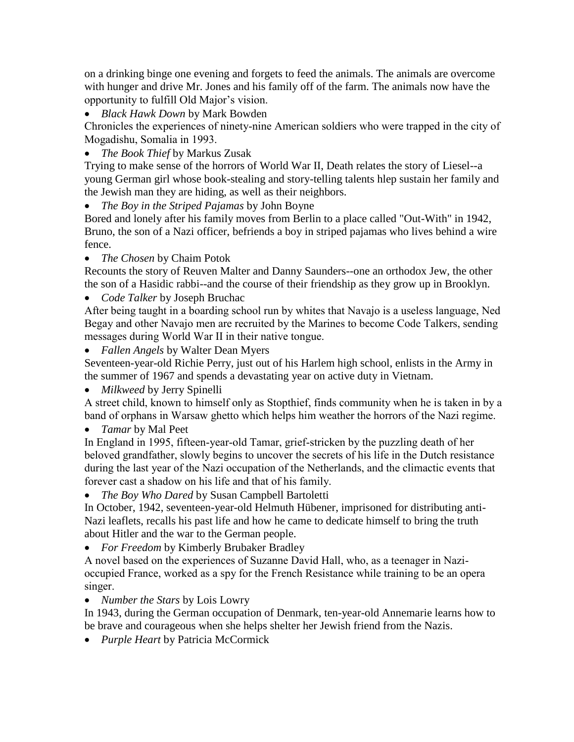on a drinking binge one evening and forgets to feed the animals. The animals are overcome with hunger and drive Mr. Jones and his family off of the farm. The animals now have the opportunity to fulfill Old Major's vision.

*Black Hawk Down* by Mark Bowden

Chronicles the experiences of ninety-nine American soldiers who were trapped in the city of Mogadishu, Somalia in 1993.

*The Book Thief* by Markus Zusak

Trying to make sense of the horrors of World War II, Death relates the story of Liesel--a young German girl whose book-stealing and story-telling talents hlep sustain her family and the Jewish man they are hiding, as well as their neighbors.

*The Boy in the Striped Pajamas* by John Boyne

Bored and lonely after his family moves from Berlin to a place called "Out-With" in 1942, Bruno, the son of a Nazi officer, befriends a boy in striped pajamas who lives behind a wire fence.

*The Chosen* by Chaim Potok

Recounts the story of Reuven Malter and Danny Saunders--one an orthodox Jew, the other the son of a Hasidic rabbi--and the course of their friendship as they grow up in Brooklyn.

*Code Talker* by Joseph Bruchac

After being taught in a boarding school run by whites that Navajo is a useless language, Ned Begay and other Navajo men are recruited by the Marines to become Code Talkers, sending messages during World War II in their native tongue.

*Fallen Angels* by Walter Dean Myers

Seventeen-year-old Richie Perry, just out of his Harlem high school, enlists in the Army in the summer of 1967 and spends a devastating year on active duty in Vietnam.

*Milkweed* by Jerry Spinelli

A street child, known to himself only as Stopthief, finds community when he is taken in by a band of orphans in Warsaw ghetto which helps him weather the horrors of the Nazi regime.

*Tamar* by Mal Peet

In England in 1995, fifteen-year-old Tamar, grief-stricken by the puzzling death of her beloved grandfather, slowly begins to uncover the secrets of his life in the Dutch resistance during the last year of the Nazi occupation of the Netherlands, and the climactic events that forever cast a shadow on his life and that of his family.

## *The Boy Who Dared* by Susan Campbell Bartoletti

In October, 1942, seventeen-year-old Helmuth Hübener, imprisoned for distributing anti-Nazi leaflets, recalls his past life and how he came to dedicate himself to bring the truth about Hitler and the war to the German people.

*For Freedom* by Kimberly Brubaker Bradley

A novel based on the experiences of Suzanne David Hall, who, as a teenager in Nazioccupied France, worked as a spy for the French Resistance while training to be an opera singer.

*Number the Stars* by Lois Lowry

In 1943, during the German occupation of Denmark, ten-year-old Annemarie learns how to be brave and courageous when she helps shelter her Jewish friend from the Nazis.

*Purple Heart* by Patricia McCormick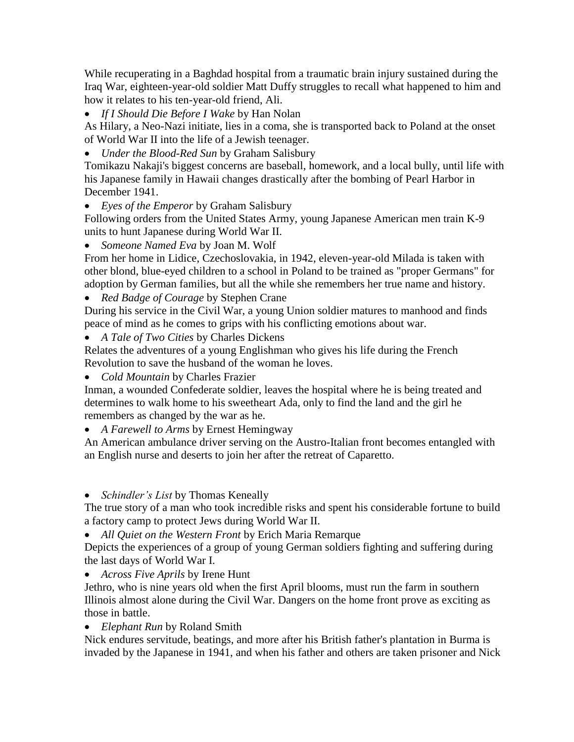While recuperating in a Baghdad hospital from a traumatic brain injury sustained during the Iraq War, eighteen-year-old soldier Matt Duffy struggles to recall what happened to him and how it relates to his ten-year-old friend, Ali.

*If I Should Die Before I Wake* by Han Nolan

As Hilary, a Neo-Nazi initiate, lies in a coma, she is transported back to Poland at the onset of World War II into the life of a Jewish teenager.

*Under the Blood-Red Sun* by Graham Salisbury

Tomikazu Nakaji's biggest concerns are baseball, homework, and a local bully, until life with his Japanese family in Hawaii changes drastically after the bombing of Pearl Harbor in December 1941.

*Eyes of the Emperor* by Graham Salisbury

Following orders from the United States Army, young Japanese American men train K-9 units to hunt Japanese during World War II.

*Someone Named Eva* by Joan M. Wolf

From her home in Lidice, Czechoslovakia, in 1942, eleven-year-old Milada is taken with other blond, blue-eyed children to a school in Poland to be trained as "proper Germans" for adoption by German families, but all the while she remembers her true name and history.

*Red Badge of Courage* by Stephen Crane

During his service in the Civil War, a young Union soldier matures to manhood and finds peace of mind as he comes to grips with his conflicting emotions about war.

*A Tale of Two Cities* by Charles Dickens

Relates the adventures of a young Englishman who gives his life during the French Revolution to save the husband of the woman he loves.

*Cold Mountain* by Charles Frazier

Inman, a wounded Confederate soldier, leaves the hospital where he is being treated and determines to walk home to his sweetheart Ada, only to find the land and the girl he remembers as changed by the war as he.

*A Farewell to Arms* by Ernest Hemingway

An American ambulance driver serving on the Austro-Italian front becomes entangled with an English nurse and deserts to join her after the retreat of Caparetto.

*Schindler's List* by Thomas Keneally

The true story of a man who took incredible risks and spent his considerable fortune to build a factory camp to protect Jews during World War II.

*All Quiet on the Western Front* by Erich Maria Remarque

Depicts the experiences of a group of young German soldiers fighting and suffering during the last days of World War I.

*Across Five Aprils* by Irene Hunt

Jethro, who is nine years old when the first April blooms, must run the farm in southern Illinois almost alone during the Civil War. Dangers on the home front prove as exciting as those in battle.

*Elephant Run* by Roland Smith

Nick endures servitude, beatings, and more after his British father's plantation in Burma is invaded by the Japanese in 1941, and when his father and others are taken prisoner and Nick